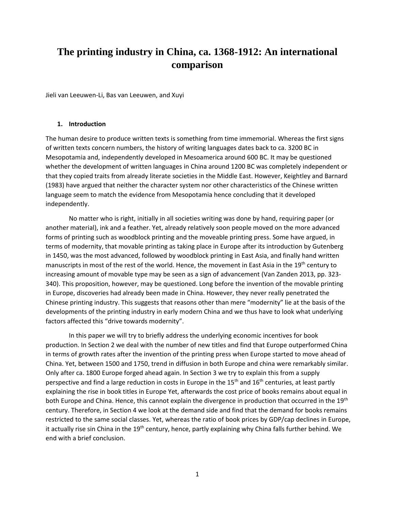# **The printing industry in China, ca. 1368-1912: An international comparison**

Jieli van Leeuwen-Li, Bas van Leeuwen, and Xuyi

### **1. Introduction**

The human desire to produce written texts is something from time immemorial. Whereas the first signs of written texts concern numbers, the history of writing languages dates back to ca. 3200 BC in Mesopotamia and, independently developed in Mesoamerica around 600 BC. It may be questioned whether the development of written languages in China around 1200 BC was completely independent or that they copied traits from already literate societies in the Middle East. However, Keightley and Barnard (1983) have argued that neither the character system nor other characteristics of the Chinese written language seem to match the evidence from Mesopotamia hence concluding that it developed independently.

No matter who is right, initially in all societies writing was done by hand, requiring paper (or another material), ink and a feather. Yet, already relatively soon people moved on the more advanced forms of printing such as woodblock printing and the moveable printing press. Some have argued, in terms of modernity, that movable printing as taking place in Europe after its introduction by Gutenberg in 1450, was the most advanced, followed by woodblock printing in East Asia, and finally hand written manuscripts in most of the rest of the world. Hence, the movement in East Asia in the 19<sup>th</sup> century to increasing amount of movable type may be seen as a sign of advancement (Van Zanden 2013, pp. 323- 340). This proposition, however, may be questioned. Long before the invention of the movable printing in Europe, discoveries had already been made in China. However, they never really penetrated the Chinese printing industry. This suggests that reasons other than mere "modernity" lie at the basis of the developments of the printing industry in early modern China and we thus have to look what underlying factors affected this "drive towards modernity".

In this paper we will try to briefly address the underlying economic incentives for book production. In Section 2 we deal with the number of new titles and find that Europe outperformed China in terms of growth rates after the invention of the printing press when Europe started to move ahead of China. Yet, between 1500 and 1750, trend in diffusion in both Europe and china were remarkably similar. Only after ca. 1800 Europe forged ahead again. In Section 3 we try to explain this from a supply perspective and find a large reduction in costs in Europe in the 15<sup>th</sup> and 16<sup>th</sup> centuries, at least partly explaining the rise in book titles in Europe Yet, afterwards the cost price of books remains about equal in both Europe and China. Hence, this cannot explain the divergence in production that occurred in the 19<sup>th</sup> century. Therefore, in Section 4 we look at the demand side and find that the demand for books remains restricted to the same social classes. Yet, whereas the ratio of book prices by GDP/cap declines in Europe, it actually rise sin China in the 19<sup>th</sup> century, hence, partly explaining why China falls further behind. We end with a brief conclusion.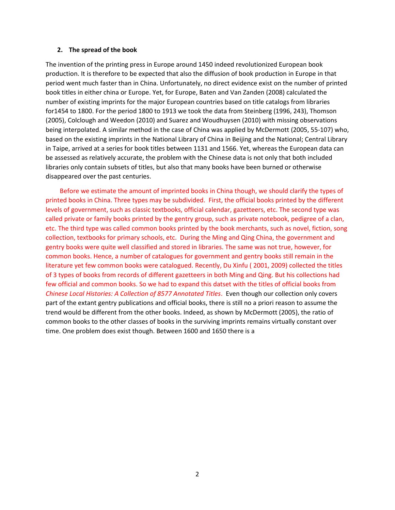### **2. The spread of the book**

The invention of the printing press in Europe around 1450 indeed revolutionized European book production. It is therefore to be expected that also the diffusion of book production in Europe in that period went much faster than in China. Unfortunately, no direct evidence exist on the number of printed book titles in either china or Europe. Yet, for Europe, Baten and Van Zanden (2008) calculated the number of existing imprints for the major European countries based on title catalogs from libraries for1454 to 1800. For the period 1800 to 1913 we took the data from Steinberg (1996, 243), Thomson (2005), Colclough and Weedon (2010) and Suarez and Woudhuysen (2010) with missing observations being interpolated. A similar method in the case of China was applied by McDermott (2005, 55-107) who, based on the existing imprints in the National Library of China in Beijing and the National; Central Library in Taipe, arrived at a series for book titles between 1131 and 1566. Yet, whereas the European data can be assessed as relatively accurate, the problem with the Chinese data is not only that both included libraries only contain subsets of titles, but also that many books have been burned or otherwise disappeared over the past centuries.

Before we estimate the amount of imprinted books in China though, we should clarify the types of printed books in China. Three types may be subdivided. First, the official books printed by the different levels of government, such as classic textbooks, official calendar, gazetteers, etc. The second type was called private or family books printed by the gentry group, such as private notebook, pedigree of a clan, etc. The third type was called common books printed by the book merchants, such as novel, fiction, song collection, textbooks for primary schools, etc. During the Ming and Qing China, the government and gentry books were quite well classified and stored in libraries. The same was not true, however, for common books. Hence, a number of catalogues for government and gentry books still remain in the literature yet few common books were catalogued. Recently, Du Xinfu ( 2001, 2009) collected the titles of 3 types of books from records of different gazetteers in both Ming and Qing. But his collections had few official and common books. So we had to expand this datset with the titles of official books from *Chinese Local Histories: A Collection of 8577 Annotated Titles*. Even though our collection only covers part of the extant gentry publications and official books, there is still no a priori reason to assume the trend would be different from the other books. Indeed, as shown by McDermott (2005), the ratio of common books to the other classes of books in the surviving imprints remains virtually constant over time. One problem does exist though. Between 1600 and 1650 there is a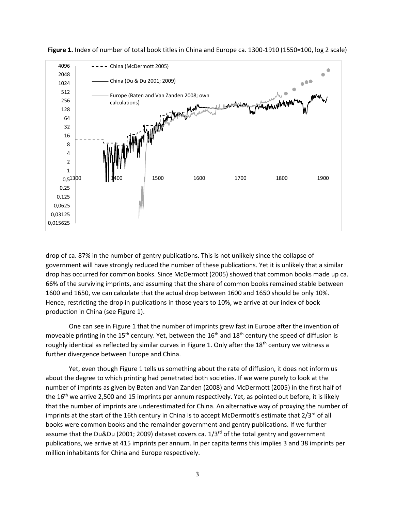

**Figure 1.** Index of number of total book titles in China and Europe ca. 1300-1910 (1550=100, log 2 scale)

drop of ca. 87% in the number of gentry publications. This is not unlikely since the collapse of government will have strongly reduced the number of these publications. Yet it is unlikely that a similar drop has occurred for common books. Since McDermott (2005) showed that common books made up ca. 66% of the surviving imprints, and assuming that the share of common books remained stable between 1600 and 1650, we can calculate that the actual drop between 1600 and 1650 should be only 10%. Hence, restricting the drop in publications in those years to 10%, we arrive at our index of book production in China (see Figure 1).

One can see in Figure 1 that the number of imprints grew fast in Europe after the invention of moveable printing in the 15<sup>th</sup> century. Yet, between the 16<sup>th</sup> and 18<sup>th</sup> century the speed of diffusion is roughly identical as reflected by similar curves in Figure 1. Only after the  $18<sup>th</sup>$  century we witness a further divergence between Europe and China.

Yet, even though Figure 1 tells us something about the rate of diffusion, it does not inform us about the degree to which printing had penetrated both societies. If we were purely to look at the number of imprints as given by Baten and Van Zanden (2008) and McDermott (2005) in the first half of the 16<sup>th</sup> we arrive 2,500 and 15 imprints per annum respectively. Yet, as pointed out before, it is likely that the number of imprints are underestimated for China. An alternative way of proxying the number of imprints at the start of the 16th century in China is to accept McDermott's estimate that  $2/3^{rd}$  of all books were common books and the remainder government and gentry publications. If we further assume that the Du&Du (2001; 2009) dataset covers ca.  $1/3<sup>rd</sup>$  of the total gentry and government publications, we arrive at 415 imprints per annum. In per capita terms this implies 3 and 38 imprints per million inhabitants for China and Europe respectively.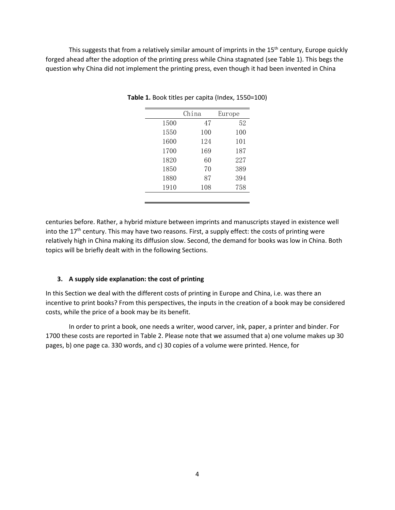This suggests that from a relatively similar amount of imprints in the 15<sup>th</sup> century, Europe quickly forged ahead after the adoption of the printing press while China stagnated (see Table 1). This begs the question why China did not implement the printing press, even though it had been invented in China

|      | China | Europe |  |
|------|-------|--------|--|
| 1500 | 47    | 52     |  |
| 1550 | 100   | 100    |  |
| 1600 | 124   | 101    |  |
| 1700 | 169   | 187    |  |
| 1820 | 60    | 227    |  |
| 1850 | 70    | 389    |  |
| 1880 | 87    | 394    |  |
| 1910 | 108   | 758    |  |

**Table 1.** Book titles per capita (Index, 1550=100)

centuries before. Rather, a hybrid mixture between imprints and manuscripts stayed in existence well into the  $17<sup>th</sup>$  century. This may have two reasons. First, a supply effect: the costs of printing were relatively high in China making its diffusion slow. Second, the demand for books was low in China. Both topics will be briefly dealt with in the following Sections.

## **3. A supply side explanation: the cost of printing**

In this Section we deal with the different costs of printing in Europe and China, i.e. was there an incentive to print books? From this perspectives, the inputs in the creation of a book may be considered costs, while the price of a book may be its benefit.

In order to print a book, one needs a writer, wood carver, ink, paper, a printer and binder. For 1700 these costs are reported in Table 2. Please note that we assumed that a) one volume makes up 30 pages, b) one page ca. 330 words, and c) 30 copies of a volume were printed. Hence, for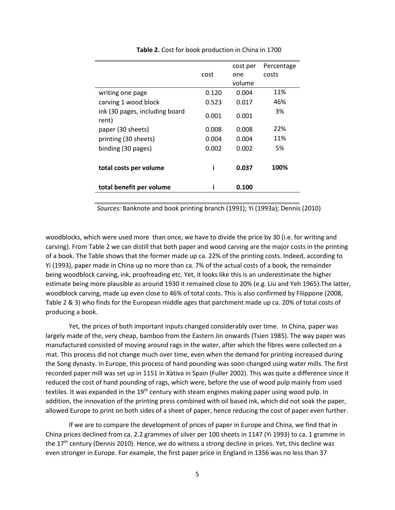|                                         | cost  | cost per<br>one | Percentage<br>costs |
|-----------------------------------------|-------|-----------------|---------------------|
|                                         |       | volume          |                     |
| writing one page                        | 0.120 | 0.004           | 11%                 |
| carving 1 wood block                    | 0.523 | 0.017           | 46%                 |
| ink (30 pages, including board<br>rent) | 0.001 | 0.001           | 3%                  |
| paper (30 sheets)                       | 0.008 | 0.008           | 22%                 |
| printing (30 sheets)                    | 0.004 | 0.004           | 11%                 |
| binding (30 pages)                      | 0.002 | 0.002           | 5%                  |
| total costs per volume                  |       | 0.037           | 100%                |
| total benefit per volume                |       | 0.100           |                     |

**Table 2.** Cost for book production in China in 1700

*Sources:* Banknote and book printing branch (1991); Yi (1993a); Dennis (2010)

woodblocks, which were used more than once, we have to divide the price by 30 (i.e. for writing and carving). From Table 2 we can distill that both paper and wood carving are the major costs in the printing of a book. The Table shows that the former made up ca. 22% of the printing costs. Indeed, according to Yi (1993), paper made in China up no more than ca. 7% of the actual costs of a book, the remainder being woodblock carving, ink, proofreading etc. Yet, it looks like this is an underestimate the higher estimate being more plausible as around 1930 it remained close to 20% (e.g. Liu and Yeh 1965).The latter, woodblock carving, made up even close to 46% of total costs. This is also confirmed by Filippone (2008, Table 2 & 3) who finds for the European middle ages that parchment made up ca. 20% of total costs of producing a book.

Yet, the prices of both important inputs changed considerably over time. In China, paper was largely made of the, very cheap, bamboo from the Eastern Jin onwards (Tsien 1985). The way paper was manufactured consisted of moving around rags in the water, after which the fibres were collected on a mat. This process did not change much over time, even when the demand for printing increased during the Song dynasty. In Europe, this process of hand pounding was soon changed using water mills. The first recorded paper mill was set up in 1151 in Xàtiva in Spain (Fuller 2002). This was quite a difference since it reduced the cost of hand pounding of rags, which were, before the use of wood pulp mainly from used textiles. It was expanded in the 19<sup>th</sup> century with steam engines making paper using wood pulp. In addition, the innovation of the printing press combined with oil based ink, which did not soak the paper, allowed Europe to print on both sides of a sheet of paper, hence reducing the cost of paper even further.

If we are to compare the development of prices of paper in Europe and China, we find that in China prices declined from ca. 2.2 grammes of silver per 100 sheets in 1147 (Yi 1993) to ca. 1 gramme in the  $17<sup>th</sup>$  century (Dennis 2010). Hence, we do witness a strong decline in prices. Yet, this decline was even stronger in Europe. For example, the first paper price in England in 1356 was no less than 37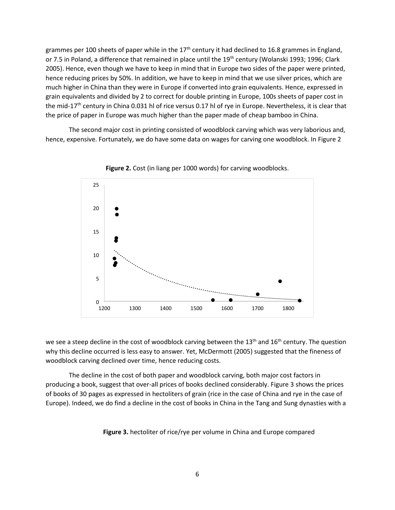grammes per 100 sheets of paper while in the  $17<sup>th</sup>$  century it had declined to 16.8 grammes in England, or 7.5 in Poland, a difference that remained in place until the 19<sup>th</sup> century (Wolanski 1993; 1996; Clark 2005). Hence, even though we have to keep in mind that in Europe two sides of the paper were printed, hence reducing prices by 50%. In addition, we have to keep in mind that we use silver prices, which are much higher in China than they were in Europe if converted into grain equivalents. Hence, expressed in grain equivalents and divided by 2 to correct for double printing in Europe, 100s sheets of paper cost in the mid-17<sup>th</sup> century in China 0.031 hl of rice versus 0.17 hl of rye in Europe. Nevertheless, it is clear that the price of paper in Europe was much higher than the paper made of cheap bamboo in China.

The second major cost in printing consisted of woodblock carving which was very laborious and, hence, expensive. Fortunately, we do have some data on wages for carving one woodblock. In Figure 2



**Figure 2.** Cost (in liang per 1000 words) for carving woodblocks.

we see a steep decline in the cost of woodblock carving between the  $13<sup>th</sup>$  and  $16<sup>th</sup>$  century. The question why this decline occurred is less easy to answer. Yet, McDermott (2005) suggested that the fineness of woodblock carving declined over time, hence reducing costs.

The decline in the cost of both paper and woodblock carving, both major cost factors in producing a book, suggest that over-all prices of books declined considerably. Figure 3 shows the prices of books of 30 pages as expressed in hectoliters of grain (rice in the case of China and rye in the case of Europe). Indeed, we do find a decline in the cost of books in China in the Tang and Sung dynasties with a

**Figure 3.** hectoliter of rice/rye per volume in China and Europe compared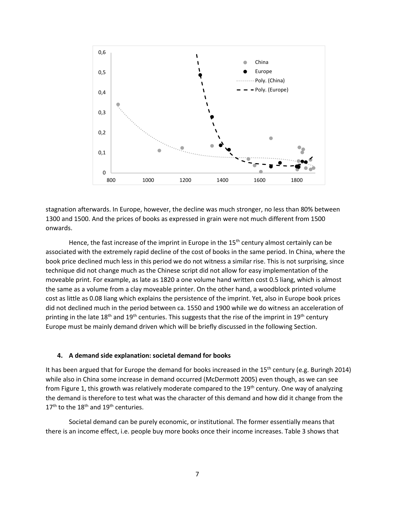

stagnation afterwards. In Europe, however, the decline was much stronger, no less than 80% between 1300 and 1500. And the prices of books as expressed in grain were not much different from 1500 onwards.

Hence, the fast increase of the imprint in Europe in the  $15<sup>th</sup>$  century almost certainly can be associated with the extremely rapid decline of the cost of books in the same period. In China, where the book price declined much less in this period we do not witness a similar rise. This is not surprising, since technique did not change much as the Chinese script did not allow for easy implementation of the moveable print. For example, as late as 1820 a one volume hand written cost 0.5 liang, which is almost the same as a volume from a clay moveable printer. On the other hand, a woodblock printed volume cost as little as 0.08 liang which explains the persistence of the imprint. Yet, also in Europe book prices did not declined much in the period between ca. 1550 and 1900 while we do witness an acceleration of printing in the late  $18<sup>th</sup>$  and  $19<sup>th</sup>$  centuries. This suggests that the rise of the imprint in  $19<sup>th</sup>$  century Europe must be mainly demand driven which will be briefly discussed in the following Section.

### **4. A demand side explanation: societal demand for books**

It has been argued that for Europe the demand for books increased in the 15<sup>th</sup> century (e.g. Buringh 2014) while also in China some increase in demand occurred (McDermott 2005) even though, as we can see from Figure 1, this growth was relatively moderate compared to the 19<sup>th</sup> century. One way of analyzing the demand is therefore to test what was the character of this demand and how did it change from the  $17<sup>th</sup>$  to the  $18<sup>th</sup>$  and  $19<sup>th</sup>$  centuries.

Societal demand can be purely economic, or institutional. The former essentially means that there is an income effect, i.e. people buy more books once their income increases. Table 3 shows that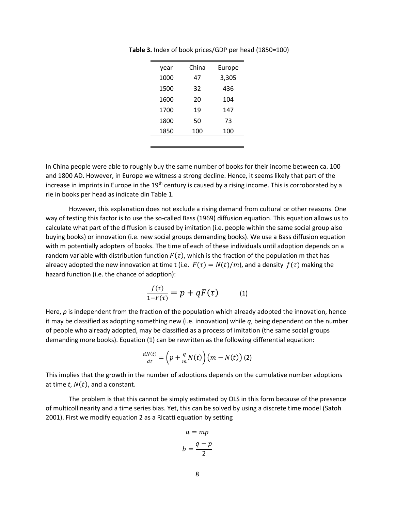| year | China | Europe |  |  |
|------|-------|--------|--|--|
| 1000 | 47    | 3,305  |  |  |
| 1500 | 32    | 436    |  |  |
| 1600 | 20    | 104    |  |  |
| 1700 | 19    | 147    |  |  |
| 1800 | 50    | 73     |  |  |
| 1850 | 100   | 100    |  |  |
|      |       |        |  |  |

**Table 3.** Index of book prices/GDP per head (1850=100)

In China people were able to roughly buy the same number of books for their income between ca. 100 and 1800 AD. However, in Europe we witness a strong decline. Hence, it seems likely that part of the increase in imprints in Europe in the 19<sup>th</sup> century is caused by a rising income. This is corroborated by a rie in books per head as indicate din Table 1.

However, this explanation does not exclude a rising demand from cultural or other reasons. One way of testing this factor is to use the so-called Bass (1969) diffusion equation. This equation allows us to calculate what part of the diffusion is caused by imitation (i.e. people within the same social group also buying books) or innovation (i.e. new social groups demanding books). We use a Bass diffusion equation with m potentially adopters of books. The time of each of these individuals until adoption depends on a random variable with distribution function  $F(\tau)$ , which is the fraction of the population m that has already adopted the new innovation at time t (i.e.  $F(\tau) = N(t)/m$ ), and a density  $f(\tau)$  making the hazard function (i.e. the chance of adoption):

$$
\frac{f(\tau)}{1 - F(\tau)} = p + qF(\tau) \tag{1}
$$

Here, p is independent from the fraction of the population which already adopted the innovation, hence it may be classified as adopting something new (i.e. innovation) while *q*, being dependent on the number of people who already adopted, may be classified as a process of imitation (the same social groups demanding more books). Equation (1) can be rewritten as the following differential equation:

$$
\frac{dN(t)}{dt} = \left(p + \frac{q}{m}N(t)\right)\left(m - N(t)\right)\left(2\right)
$$

This implies that the growth in the number of adoptions depends on the cumulative number adoptions at time  $t$ ,  $N(t)$ , and a constant.

The problem is that this cannot be simply estimated by OLS in this form because of the presence of multicollinearity and a time series bias. Yet, this can be solved by using a discrete time model (Satoh 2001). First we modify equation 2 as a Ricatti equation by setting

$$
a = mp
$$

$$
b = \frac{q - p}{2}
$$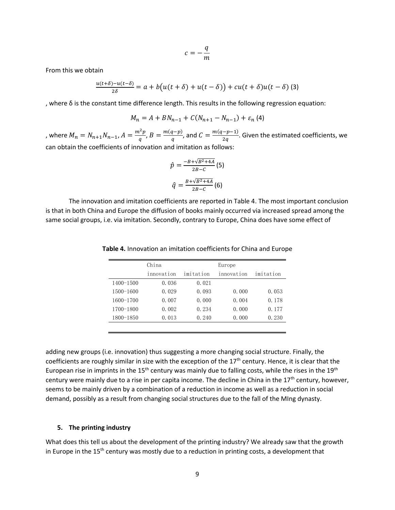$$
c=-\frac{q}{m}
$$

From this we obtain

$$
\frac{u(t+\delta)-u(t-\delta)}{2\delta}=a+b\big(u(t+\delta)+u(t-\delta)\big)+cu(t+\delta)u(t-\delta)
$$
 (3)

, where δ is the constant time difference length. This results in the following regression equation:

$$
M_n = A + BN_{n-1} + C(N_{n+1} - N_{n-1}) + \varepsilon_n \tag{4}
$$

, where  $M_n = N_{n+1} N_{n-1}$ ,  $A = \frac{m^2 p}{q}$  $\frac{a^2p}{q}$ ,  $B = \frac{m(q-p)}{q}$  $\frac{(q-p)}{q}$ , and  $C = \frac{m(q-p-1)}{2q}$  $\frac{p-1}{2q}$ . Given the estimated coefficients, we can obtain the coefficients of innovation and imitation as follows:

$$
\hat{p} = \frac{-B + \sqrt{B^2 + 4A}}{2B - C} (5)
$$

$$
\hat{q} = \frac{B + \sqrt{B^2 + 4A}}{2B - C} (6)
$$

The innovation and imitation coefficients are reported in Table 4. The most important conclusion is that in both China and Europe the diffusion of books mainly occurred via increased spread among the same social groups, i.e. via imitation. Secondly, contrary to Europe, China does have some effect of

|               | China | Europe                  |       |           |  |
|---------------|-------|-------------------------|-------|-----------|--|
| innovation    |       | imitation<br>innovation |       | imitation |  |
| $1400 - 1500$ | 0.036 | 0.021                   |       |           |  |
| $1500 - 1600$ | 0.029 | 0.093                   | 0.000 | 0.053     |  |
| $1600 - 1700$ | 0.007 | 0.000                   | 0.004 | 0.178     |  |
| 1700-1800     | 0.002 | 0.234                   | 0.000 | 0.177     |  |
| 1800-1850     | 0.013 | 0.240                   | 0.000 | 0.230     |  |
|               |       |                         |       |           |  |

**Table 4.** Innovation an imitation coefficients for China and Europe

adding new groups (i.e. innovation) thus suggesting a more changing social structure. Finally, the coefficients are roughly similar in size with the exception of the  $17<sup>th</sup>$  century. Hence, it is clear that the European rise in imprints in the 15<sup>th</sup> century was mainly due to falling costs, while the rises in the 19<sup>th</sup> century were mainly due to a rise in per capita income. The decline in China in the  $17<sup>th</sup>$  century, however, seems to be mainly driven by a combination of a reduction in income as well as a reduction in social demand, possibly as a result from changing social structures due to the fall of the MIng dynasty.

#### **5. The printing industry**

What does this tell us about the development of the printing industry? We already saw that the growth in Europe in the 15<sup>th</sup> century was mostly due to a reduction in printing costs, a development that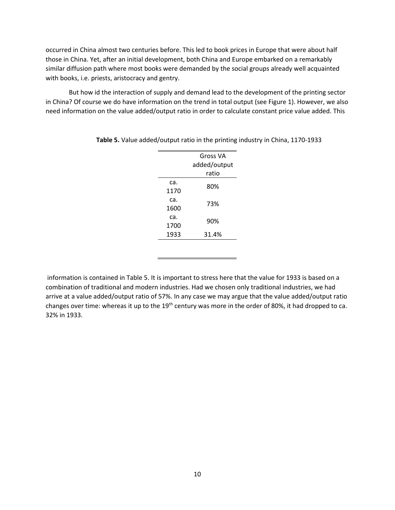occurred in China almost two centuries before. This led to book prices in Europe that were about half those in China. Yet, after an initial development, both China and Europe embarked on a remarkably similar diffusion path where most books were demanded by the social groups already well acquainted with books, i.e. priests, aristocracy and gentry.

But how id the interaction of supply and demand lead to the development of the printing sector in China? Of course we do have information on the trend in total output (see Figure 1). However, we also need information on the value added/output ratio in order to calculate constant price value added. This

|             | <b>Gross VA</b> |  |  |
|-------------|-----------------|--|--|
|             | added/output    |  |  |
|             | ratio           |  |  |
| ca.<br>1170 | 80%             |  |  |
| ca.<br>1600 | 73%             |  |  |
| ca.<br>1700 | 90%             |  |  |
| 1933        | 31.4%           |  |  |

**Table 5.** Value added/output ratio in the printing industry in China, 1170-1933

information is contained in Table 5. It is important to stress here that the value for 1933 is based on a combination of traditional and modern industries. Had we chosen only traditional industries, we had arrive at a value added/output ratio of 57%. In any case we may argue that the value added/output ratio changes over time: whereas it up to the 19<sup>th</sup> century was more in the order of 80%, it had dropped to ca. 32% in 1933.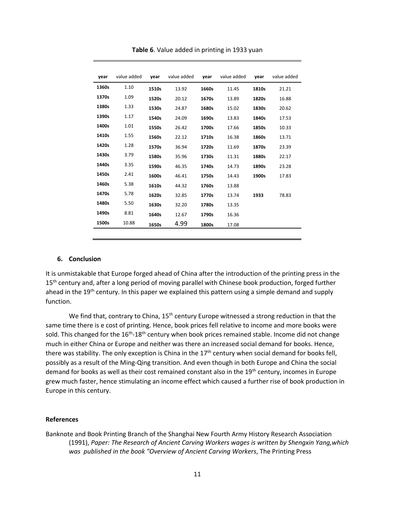| vear  | value added | year  | value added | year  | value added | year  | value added |
|-------|-------------|-------|-------------|-------|-------------|-------|-------------|
| 1360s | 1.10        |       |             |       |             |       |             |
|       |             | 1510s | 13.92       | 1660s | 11.45       | 1810s | 21.21       |
| 1370s | 1.09        | 1520s | 20.12       | 1670s | 13.89       | 1820s | 16.88       |
| 1380s | 1.33        | 1530s | 24.87       | 1680s | 15.02       | 1830s | 20.62       |
| 1390s | 1.17        | 1540s | 24.09       | 1690s | 13.83       | 1840s | 17.53       |
| 1400s | 1.01        | 1550s | 26.42       | 1700s | 17.66       | 1850s | 10.33       |
| 1410s | 1.55        | 1560s | 22.12       | 1710s | 16.38       | 1860s | 13.71       |
| 1420s | 1.28        | 1570s | 36.94       | 1720s | 11.69       | 1870s | 23.39       |
| 1430s | 3.79        | 1580s | 35.96       | 1730s | 11.31       | 1880s | 22.17       |
| 1440s | 3.35        | 1590s | 46.35       | 1740s | 14.73       | 1890s | 23.28       |
| 1450s | 2.41        | 1600s | 46.41       | 1750s | 14.43       | 1900s | 17.83       |
| 1460s | 5.38        | 1610s | 44.32       | 1760s | 13.88       |       |             |
| 1470s | 5.78        | 1620s | 32.85       | 1770s | 13.74       | 1933  | 78.83       |
| 1480s | 5.50        | 1630s | 32.20       | 1780s | 13.35       |       |             |
| 1490s | 8.81        | 1640s | 12.67       | 1790s | 16.36       |       |             |
| 1500s | 10.88       | 1650s | 4.99        | 1800s | 17.08       |       |             |
|       |             |       |             |       |             |       |             |

**Table 6**. Value added in printing in 1933 yuan

### **6. Conclusion**

It is unmistakable that Europe forged ahead of China after the introduction of the printing press in the 15<sup>th</sup> century and, after a long period of moving parallel with Chinese book production, forged further ahead in the 19<sup>th</sup> century. In this paper we explained this pattern using a simple demand and supply function.

We find that, contrary to China,  $15<sup>th</sup>$  century Europe witnessed a strong reduction in that the same time there is e cost of printing. Hence, book prices fell relative to income and more books were sold. This changed for the 16<sup>th</sup>-18<sup>th</sup> century when book prices remained stable. Income did not change much in either China or Europe and neither was there an increased social demand for books. Hence, there was stability. The only exception is China in the  $17<sup>th</sup>$  century when social demand for books fell, possibly as a result of the Ming-Qing transition. And even though in both Europe and China the social demand for books as well as their cost remained constant also in the 19<sup>th</sup> century, incomes in Europe grew much faster, hence stimulating an income effect which caused a further rise of book production in Europe in this century.

#### **References**

Banknote and Book Printing Branch of the Shanghai New Fourth Army History Research Association (1991), *Paper: The Research of Ancient Carving Workers wages is written by Shengxin Yang,which was published in the book "Overview of Ancient Carving Workers*, The Printing Press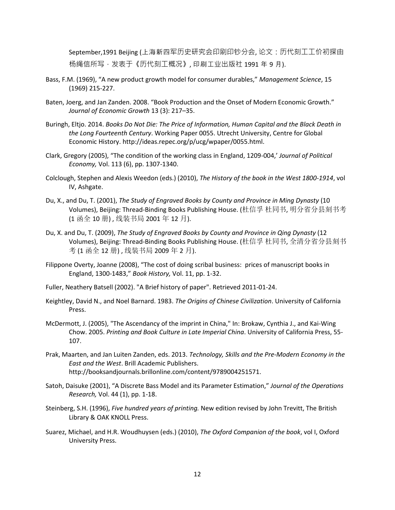September,1991 Beijing (上海新四军历史研究会印刷印钞分会, 论文:历代刻工工价初探由 杨绳信所写 · 发表于《历代刻工概况》, 印刷工业出版社 1991 年 9 月).

- Bass, F.M. (1969), "A new product growth model for consumer durables," *Management Science*, 15 (1969) 215-227.
- Baten, Joerg, and Jan Zanden. 2008. "Book Production and the Onset of Modern Economic Growth." *Journal of Economic Growth* 13 (3): 217–35.
- Buringh, Eltjo. 2014. *Books Do Not Die: The Price of Information, Human Capital and the Black Death in the Long Fourteenth Century*. Working Paper 0055. Utrecht University, Centre for Global Economic History. http://ideas.repec.org/p/ucg/wpaper/0055.html.
- Clark, Gregory (2005), "The condition of the working class in England, 1209-004,' *Journal of Political Economy,* Vol. 113 (6), pp. 1307-1340.
- Colclough, Stephen and Alexis Weedon (eds.) (2010), *The History of the book in the West 1800-1914*, vol IV, Ashgate.
- Du, X., and Du, T. (2001), *The Study of Engraved Books by County and Province in Ming Dynasty* (10 Volumes), Beijing: Thread-Binding Books Publishing House. (杜信孚 杜同书, 明分省分县刻书考 (1 函全 10 册) , 线装书局 2001 年 12 月).
- Du, X. and Du, T. (2009), *The Study of Engraved Books by County and Province in Qing Dynasty* (12 Volumes), Beijing: Thread-Binding Books Publishing House. (杜信孚 杜同书, 全清分省分县刻书 考 (1 函全 12 册), 线装书局 2009 年 2 月).
- Filippone Overty, Joanne (2008), "The cost of doing scribal business: prices of manuscript books in England, 1300-1483," *Book History,* Vol. 11, pp. 1-32.
- Fuller, Neathery Batsell (2002). "A Brief history of paper". Retrieved 2011-01-24.
- Keightley, David N., and Noel Barnard. 1983. *The Origins of Chinese Civilization*. University of California Press.
- McDermott, J. (2005), "The Ascendancy of the imprint in China," In: Brokaw, Cynthia J., and Kai-Wing Chow. 2005. *Printing and Book Culture in Late Imperial China*. University of California Press, 55- 107.
- Prak, Maarten, and Jan Luiten Zanden, eds. 2013. *Technology, Skills and the Pre-Modern Economy in the East and the West*. Brill Academic Publishers. http://booksandjournals.brillonline.com/content/9789004251571.
- Satoh, Daisuke (2001), "A Discrete Bass Model and its Parameter Estimation," *Journal of the Operations Research,* Vol. 44 (1), pp. 1-18.
- Steinberg, S.H. (1996), *Five hundred years of printing.* New edition revised by John Trevitt, The British Library & OAK KNOLL Press.
- Suarez, Michael, and H.R. Woudhuysen (eds.) (2010), *The Oxford Companion of the book*, vol I, Oxford University Press.